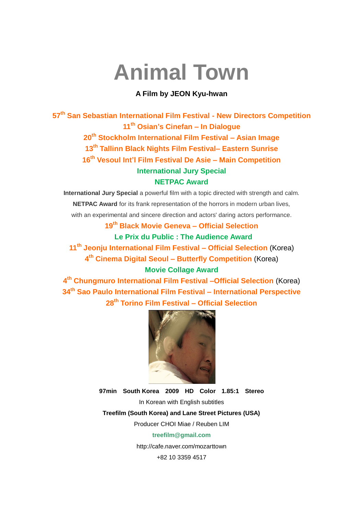# **Animal Town**

#### **A Film by JEON Kyu-hwan**

**th San Sebastian International Film Festival - New Directors Competition th Osian's Cinefan – In Dialogue th Stockholm International Film Festival – Asian Image th Tallinn Black Nights Film Festival– Eastern Sunrise th Vesoul Int'l Film Festival De Asie – Main Competition International Jury Special NETPAC Award**

**International Jury Special** a powerful film with a topic directed with strength and calm. **NETPAC Award** for its frank representation of the horrors in modern urban lives, with an experimental and sincere direction and actors' daring actors performance.

> **19th Black Movie Geneva – Official Selection Le Prix du Public : The Audience Award**

**11th Jeonju International Film Festival – Official Selection** (Korea) **4 th Cinema Digital Seoul – Butterfly Competition** (Korea) **Movie Collage Award**

**4 th Chungmuro International Film Festival –Official Selection** (Korea) **34 th Sao Paulo International Film Festival – International Perspective 28th Torino Film Festival – Official Selection**



**97min South Korea 2009 HD Color 1.85:1 Stereo** In Korean with English subtitles

**Treefilm (South Korea) and Lane Street Pictures (USA)**

Producer CHOI Miae / Reuben LIM

#### **treefilm@gmail.com**

http://cafe.naver.com/mozarttown

+82 10 3359 4517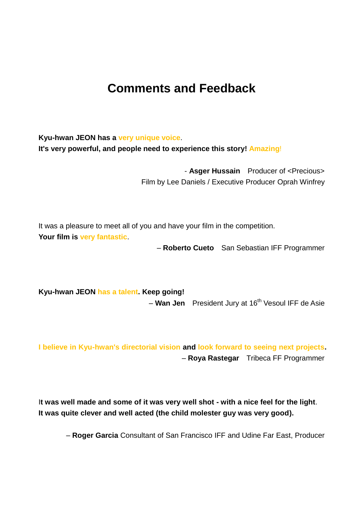## **Comments and Feedback**

**Kyu-hwan JEON has a very unique voice**. **It's very powerful, and people need to experience this story! Amazing**!

> - **Asger Hussain** Producer of <Precious> Film by Lee Daniels / Executive Producer Oprah Winfrey

It was a pleasure to meet all of you and have your film in the competition. **Your film is very fantastic**.

– **Roberto Cueto** San Sebastian IFF Programmer

**Kyu-hwan JEON has a talent. Keep going!** – **Wan Jen** President Jury at 16<sup>th</sup> Vesoul IFF de Asie

**I believe in Kyu-hwan's directorial vision and look forward to seeing next projects.** – **Roya Rastegar** Tribeca FF Programmer

I**t was well made and some of it was very well shot - with a nice feel for the light**. **It was quite clever and well acted (the child molester guy was very good).** 

– **Roger Garcia** Consultant of San Francisco IFF and Udine Far East, Producer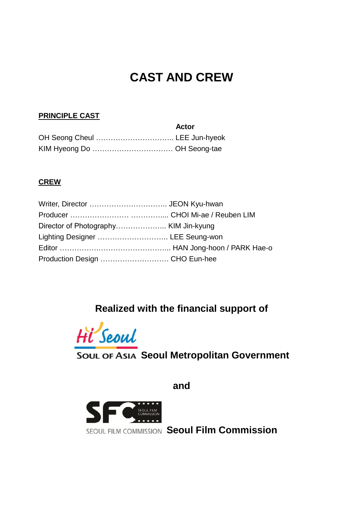## **CAST AND CREW**

#### **PRINCIPLE CAST**

| Actor |
|-------|
|       |
|       |

#### **CREW**

| Lighting Designer  LEE Seung-won |  |
|----------------------------------|--|
|                                  |  |
|                                  |  |

## **Realized with the financial support of**



**SOUL OF ASIA Seoul Metropolitan Government** 

**and**



**SEOUL FILM COMMISSION Seoul Film Commission**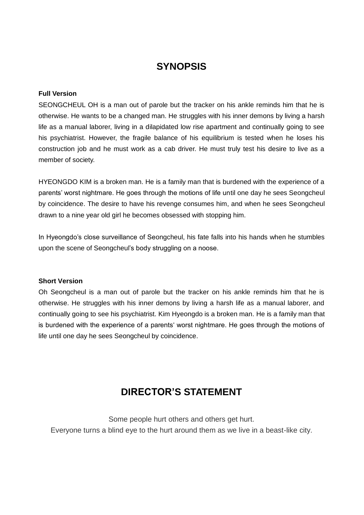## **SYNOPSIS**

#### **Full Version**

SEONGCHEUL OH is a man out of parole but the tracker on his ankle reminds him that he is otherwise. He wants to be a changed man. He struggles with his inner demons by living a harsh life as a manual laborer, living in a dilapidated low rise apartment and continually going to see his psychiatrist. However, the fragile balance of his equilibrium is tested when he loses his construction job and he must work as a cab driver. He must truly test his desire to live as a member of society.

HYEONGDO KIM is a broken man. He is a family man that is burdened with the experience of a parents' worst nightmare. He goes through the motions of life until one day he sees Seongcheul by coincidence. The desire to have his revenge consumes him, and when he sees Seongcheul drawn to a nine year old girl he becomes obsessed with stopping him.

In Hyeongdo"s close surveillance of Seongcheul, his fate falls into his hands when he stumbles upon the scene of Seongcheul"s body struggling on a noose.

#### **Short Version**

Oh Seongcheul is a man out of parole but the tracker on his ankle reminds him that he is otherwise. He struggles with his inner demons by living a harsh life as a manual laborer, and continually going to see his psychiatrist. Kim Hyeongdo is a broken man. He is a family man that is burdened with the experience of a parents' worst nightmare. He goes through the motions of life until one day he sees Seongcheul by coincidence.

## **DIRECTOR'S STATEMENT**

Some people hurt others and others get hurt. Everyone turns a blind eye to the hurt around them as we live in a beast-like city.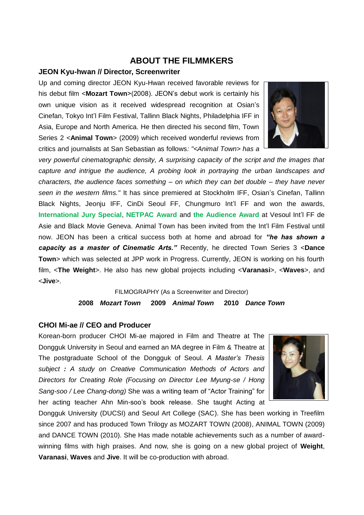#### **ABOUT THE FILMMKERS**

#### **JEON Kyu-hwan // Director, Screenwriter**

Up and coming director JEON Kyu-Hwan received favorable reviews for his debut film <**Mozart Town**>(2008). JEON"s debut work is certainly his own unique vision as it received widespread recognition at Osian"s Cinefan, Tokyo Int"l Film Festival, Tallinn Black Nights, Philadelphia IFF in Asia, Europe and North America. He then directed his second film, Town Series 2 <**Animal Town**> (2009) which received wonderful reviews from critics and journalists at San Sebastian as follows*: "<Animal Town> has a* 



*very powerful cinematographic density, A surprising capacity of the script and the images that capture and intrigue the audience, A probing look in portraying the urban landscapes and characters, the audience faces something – on which they can bet double – they have never seen in the western films."* It has since premiered at Stockholm IFF, Osian"s Cinefan, Tallinn Black Nights, Jeonju IFF, CinDi Seoul FF, Chungmuro Int'l FF and won the awards, **International Jury Special**, **NETPAC Award** and **the Audience Award** at Vesoul Int"l FF de Asie and Black Movie Geneva. Animal Town has been invited from the Int"l Film Festival until now. JEON has been a critical success both at home and abroad for *"he has shown a capacity as a master of Cinematic Arts."* Recently, he directed Town Series 3 <**Dance Town**> which was selected at JPP work in Progress. Currently, JEON is working on his fourth film, <**The Weight**>. He also has new global projects including <**Varanasi**>, <**Waves**>, and <**Jive**>.

> FILMOGRAPHY (As a Screenwriter and Director) **2008** *Mozart Town* **2009** *Animal Town* **2010** *Dance Town*

#### **CHOI Mi-ae // CEO and Producer**

Korean-born producer CHOI Mi-ae majored in Film and Theatre at The Dongguk University in Seoul and earned an MA degree in Film & Theatre at The postgraduate School of the Dongguk of Seoul. *A Master's Thesis subject : A study on Creative Communication Methods of Actors and Directors for Creating Role (Focusing on Director Lee Myung-se / Hong Sang-soo / Lee Chang-dong)* She was a writing team of "Actor Training" for her acting teacher Ahn Min-soo's book release. She taught Acting at



Dongguk University (DUCSI) and Seoul Art College (SAC). She has been working in Treefilm since 2007 and has produced Town Trilogy as MOZART TOWN (2008), ANIMAL TOWN (2009) and DANCE TOWN (2010). She Has made notable achievements such as a number of awardwinning films with high praises. And now, she is going on a new global project of **Weight**, **Varanasi**, **Waves** and **Jive**. It will be co-production with abroad.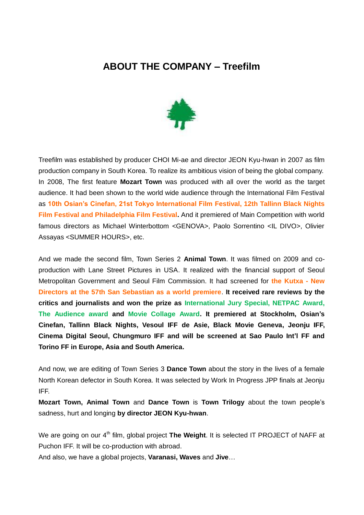### **ABOUT THE COMPANY – Treefilm**



Treefilm was established by producer CHOI Mi-ae and director JEON Kyu-hwan in 2007 as film production company in South Korea. To realize its ambitious vision of being the global company. In 2008, The first feature **Mozart Town** was produced with all over the world as the target audience. It had been shown to the world wide audience through the International Film Festival as **10th Osian's Cinefan, 21st Tokyo International Film Festival, 12th Tallinn Black Nights Film Festival and Philadelphia Film Festival.** And it premiered of Main Competition with world famous directors as Michael Winterbottom <GENOVA>, Paolo Sorrentino <IL DIVO>, Olivier Assayas <SUMMER HOURS>, etc.

And we made the second film, Town Series 2 **Animal Town**. It was filmed on 2009 and coproduction with Lane Street Pictures in USA. It realized with the financial support of Seoul Metropolitan Government and Seoul Film Commission. It had screened for **the Kutxa - New Directors at the 57th San Sebastian as a world premiere**. **It received rare reviews by the critics and journalists and won the prize as International Jury Special, NETPAC Award, The Audience award and Movie Collage Award. It premiered at Stockholm, Osian's Cinefan, Tallinn Black Nights, Vesoul IFF de Asie, Black Movie Geneva, Jeonju IFF, Cinema Digital Seoul, Chungmuro IFF and will be screened at Sao Paulo Int'l FF and Torino FF in Europe, Asia and South America.**

And now, we are editing of Town Series 3 **Dance Town** about the story in the lives of a female North Korean defector in South Korea. It was selected by Work In Progress JPP finals at Jeonju IFF.

**Mozart Town, Animal Town** and **Dance Town** is **Town Trilogy** about the town people"s sadness, hurt and longing **by director JEON Kyu-hwan**.

We are going on our 4<sup>th</sup> film, global project The Weight. It is selected IT PROJECT of NAFF at Puchon IFF. It will be co-production with abroad.

And also, we have a global projects, **Varanasi, Waves** and **Jive**…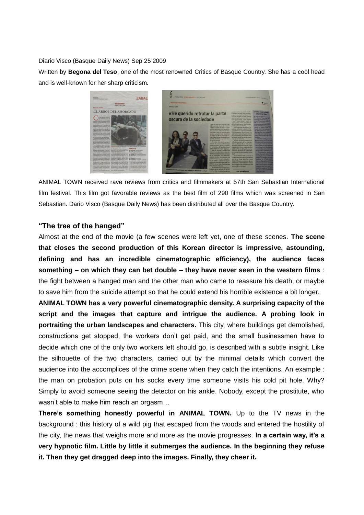Diario Visco (Basque Daily News) Sep 25 2009

Written by **Begona del Teso**, one of the most renowned Critics of Basque Country. She has a cool head and is well-known for her sharp criticism.



ANIMAL TOWN received rave reviews from critics and filmmakers at 57th San Sebastian International film festival. This film got favorable reviews as the best film of 290 films which was screened in San Sebastian. Dario Visco (Basque Daily News) has been distributed all over the Basque Country.

#### **"The tree of the hanged"**

Almost at the end of the movie (a few scenes were left yet, one of these scenes. **The scene that closes the second production of this Korean director is impressive, astounding, defining and has an incredible cinematographic efficiency), the audience faces something – on which they can bet double – they have never seen in the western films** : the fight between a hanged man and the other man who came to reassure his death, or maybe to save him from the suicide attempt so that he could extend his horrible existence a bit longer.

**ANIMAL TOWN has a very powerful cinematographic density. A surprising capacity of the script and the images that capture and intrigue the audience. A probing look in portraiting the urban landscapes and characters.** This city, where buildings get demolished, constructions get stopped, the workers don"t get paid, and the small businessmen have to decide which one of the only two workers left should go, is described with a subtle insight. Like the silhouette of the two characters, carried out by the minimal details which convert the audience into the accomplices of the crime scene when they catch the intentions. An example : the man on probation puts on his socks every time someone visits his cold pit hole. Why? Simply to avoid someone seeing the detector on his ankle. Nobody, except the prostitute, who wasn't able to make him reach an orgasm...

**There's something honestly powerful in ANIMAL TOWN.** Up to the TV news in the background : this history of a wild pig that escaped from the woods and entered the hostility of the city, the news that weighs more and more as the movie progresses. **In a certain way, it's a very hypnotic film. Little by little it submerges the audience. In the beginning they refuse it. Then they get dragged deep into the images. Finally, they cheer it.**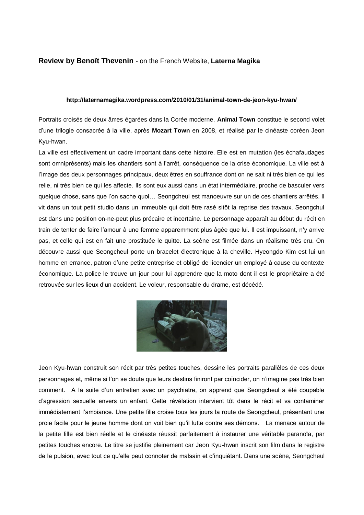#### **Review by Benoît Thevenin** - on the French Website, **Laterna Magika**

#### **http://laternamagika.wordpress.com/2010/01/31/animal-town-de-jeon-kyu-hwan/**

Portraits croisés de deux âmes égarées dans la Corée moderne, **Animal Town** constitue le second volet d"une trilogie consacrée à la ville, après **Mozart Town** en 2008, et réalisé par le cinéaste coréen Jeon Kyu-hwan.

La ville est effectivement un cadre important dans cette histoire. Elle est en mutation (les échafaudages sont omniprésents) mais les chantiers sont à l"arrêt, conséquence de la crise économique. La ville est à l"image des deux personnages principaux, deux êtres en souffrance dont on ne sait ni très bien ce qui les relie, ni très bien ce qui les affecte. Ils sont eux aussi dans un état intermédiaire, proche de basculer vers quelque chose, sans que l"on sache quoi… Seongcheul est manoeuvre sur un de ces chantiers arrêtés. Il vit dans un tout petit studio dans un immeuble qui doit être rasé sitôt la reprise des travaux. Seongchul est dans une position on-ne-peut plus précaire et incertaine. Le personnage apparaît au début du récit en train de tenter de faire l"amour à une femme apparemment plus âgée que lui. Il est impuissant, n"y arrive pas, et celle qui est en fait une prostituée le quitte. La scène est filmée dans un réalisme très cru. On découvre aussi que Seongcheul porte un bracelet électronique à la cheville. Hyeongdo Kim est lui un homme en errance, patron d"une petite entreprise et obligé de licencier un employé à cause du contexte économique. La police le trouve un jour pour lui apprendre que la moto dont il est le propriétaire a été retrouvée sur les lieux d"un accident. Le voleur, responsable du drame, est décédé.



Jeon Kyu-hwan construit son récit par très petites touches, dessine les portraits parallèles de ces deux personnages et, même si l"on se doute que leurs destins finiront par coïncider, on n"imagine pas très bien comment. A la suite d"un entretien avec un psychiatre, on apprend que Seongcheul a été coupable d"agression sexuelle envers un enfant. Cette révélation intervient tôt dans le récit et va contaminer immédiatement l'ambiance. Une petite fille croise tous les jours la route de Seongcheul, présentant une proie facile pour le jeune homme dont on voit bien qu"il lutte contre ses démons. La menace autour de la petite fille est bien réelle et le cinéaste réussit parfaitement à instaurer une véritable paranoïa, par petites touches encore. Le titre se justifie pleinement car Jeon Kyu-hwan inscrit son film dans le registre de la pulsion, avec tout ce qu"elle peut connoter de malsain et d"inquiétant. Dans une scène, Seongcheul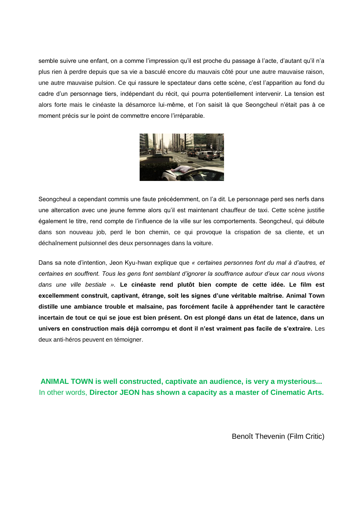semble suivre une enfant, on a comme l'impression qu'il est proche du passage à l'acte, d'autant qu'il n'a plus rien à perdre depuis que sa vie a basculé encore du mauvais côté pour une autre mauvaise raison, une autre mauvaise pulsion. Ce qui rassure le spectateur dans cette scène, c"est l"apparition au fond du cadre d"un personnage tiers, indépendant du récit, qui pourra potentiellement intervenir. La tension est alors forte mais le cinéaste la désamorce lui-même, et l"on saisit là que Seongcheul n"était pas à ce moment précis sur le point de commettre encore l"irréparable.



Seongcheul a cependant commis une faute précédemment, on l"a dit. Le personnage perd ses nerfs dans une altercation avec une jeune femme alors qu"il est maintenant chauffeur de taxi. Cette scène justifie également le titre, rend compte de l"influence de la ville sur les comportements. Seongcheul, qui débute dans son nouveau job, perd le bon chemin, ce qui provoque la crispation de sa cliente, et un déchaînement pulsionnel des deux personnages dans la voiture.

Dans sa note d"intention, Jeon Kyu-hwan explique que *« certaines personnes font du mal à d'autres, et certaines en souffrent. Tous les gens font semblant d'ignorer la souffrance autour d'eux car nous vivons dans une ville bestiale ».* **Le cinéaste rend plutôt bien compte de cette idée. Le film est excellemment construit, captivant, étrange, soit les signes d'une véritable maîtrise. Animal Town distille une ambiance trouble et malsaine, pas forcément facile à appréhender tant le caractère incertain de tout ce qui se joue est bien présent. On est plongé dans un état de latence, dans un univers en construction mais déjà corrompu et dont il n'est vraiment pas facile de s'extraire.** Les deux anti-héros peuvent en témoigner.

**ANIMAL TOWN is well constructed, captivate an audience, is very a mysterious...** In other words, **Director JEON has shown a capacity as a master of Cinematic Arts.**

Benoît Thevenin (Film Critic)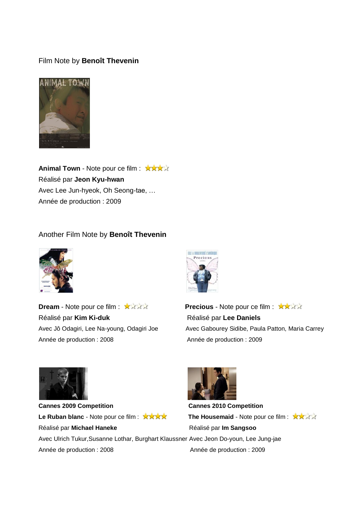#### Film Note by **Benoît Thevenin**



**Animal Town - Note pour ce film : \*\*\*\*** Réalisé par **Jeon Kyu-hwan** Avec Lee Jun-hyeok, Oh Seong-tae, … Année de production : 2009

#### Another Film Note by **Benoît Thevenin**



**Dream - Note pour ce film : \*\*\*\*** Réalisé par Kim Ki-duk<br>
Réalisé par Lee Daniels Année de production : 2008 Année de production : 2009



Avec Jô Odagiri, Lee Na-young, Odagiri Joe Avec Gabourey Sidibe, Paula Patton, Maria Carrey



**Cannes 2009 Competition Cannes 2010 Competition Le Ruban blanc** - Note pour ce film : **XXXXX The Housemaid** - Note pour ce film : XXXXX Réalisé par **Michael Haneke** Réalisé par **Im Sangsoo** Avec Ulrich Tukur,Susanne Lothar, Burghart Klaussner Avec Jeon Do-youn, Lee Jung-jae Année de production : 2008 Année de production : 2009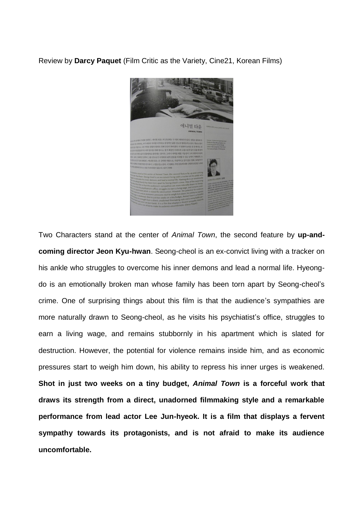Review by **Darcy Paquet** (Film Critic as the Variety, Cine21, Korean Films)



Two Characters stand at the center of *Animal Town*, the second feature by **up-andcoming director Jeon Kyu-hwan**. Seong-cheol is an ex-convict living with a tracker on his ankle who struggles to overcome his inner demons and lead a normal life. Hyeongdo is an emotionally broken man whose family has been torn apart by Seong-cheol"s crime. One of surprising things about this film is that the audience's sympathies are more naturally drawn to Seong-cheol, as he visits his psychiatist's office, struggles to earn a living wage, and remains stubbornly in his apartment which is slated for destruction. However, the potential for violence remains inside him, and as economic pressures start to weigh him down, his ability to repress his inner urges is weakened. **Shot in just two weeks on a tiny budget,** *Animal Town* **is a forceful work that draws its strength from a direct, unadorned filmmaking style and a remarkable performance from lead actor Lee Jun-hyeok. It is a film that displays a fervent sympathy towards its protagonists, and is not afraid to make its audience uncomfortable.**